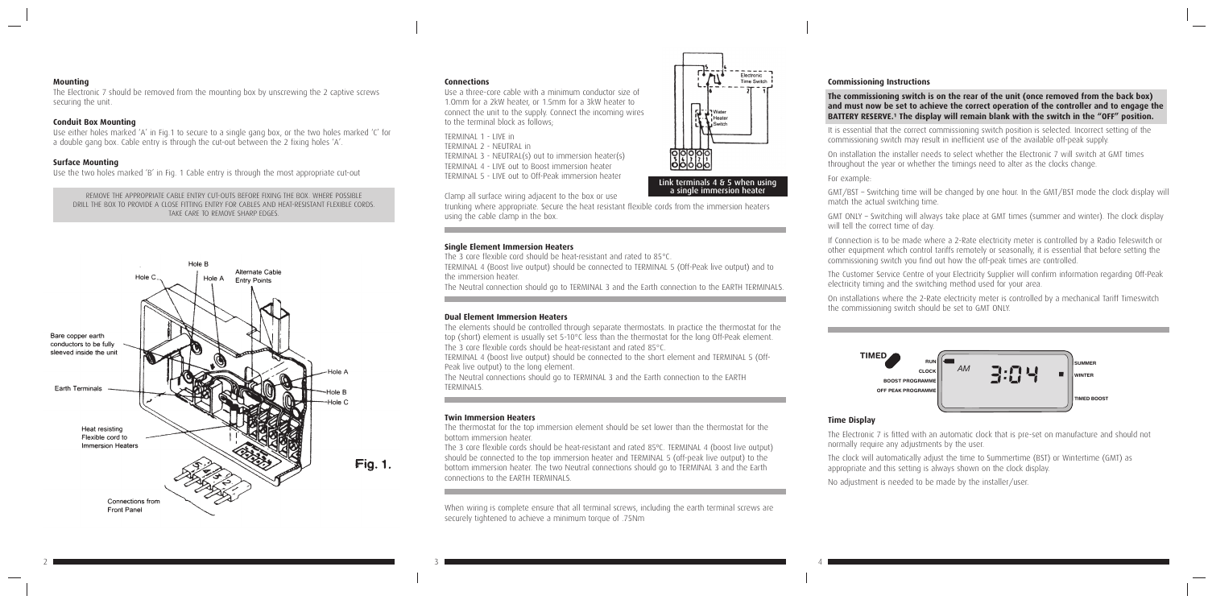#### **Mounting**

The Electronic 7 should be removed from the mounting box by unscrewing the 2 captive screws securing the unit.

### **Conduit Box Mounting**

Use either holes marked 'A' in Fig.1 to secure to a single gang box, or the two holes marked 'C' for a double gang box. Cable entry is through the cut-out between the 2 fixing holes 'A'.

### **Surface Mounting**

Use the two holes marked 'B' in Fig. 1 Cable entry is through the most appropriate cut-out

REMOVE THE APPROPRIATE CABLE ENTRY CUT-OUTS BEFORE FIXING THE BOX. WHERE POSSIBLE DRILL THE BOX TO PROVIDE A CLOSE FITTING ENTRY FOR CABLES AND HEAT-RESISTANT FLEXIBLE CORDS. TAKE CARE TO REMOVE SHARP EDGES.



#### **Connections**

Use a three-core cable with a minimum conductor size of 1.Omm for a 2kW heater, or 1.5mm for a 3kW heater to connect the unit to the supply. Connect the incoming wires to the terminal block as follows;

TERMINAL 1 - LIVE in TERMINAL 2 - NEUTRAL in TERMINAL 3 - NEUTRAL(s) out to immersion heater(s) TERMINAL 4 - LIVE out to Boost immersion heater TERMINAL 5 - LIVE out to Off-Peak immersion heater

Clamp all surface wiring adjacent to the box or use

The thermostat for the top immersion element should be set lower than the thermostat for the bottom immersion heater.

trunking where appropriate. Secure the heat resistant flexible cords from the immersion heaters using the cable clamp in the box.

## **Single Element Immersion Heaters**

The 3 core flexible cord should be heat-resistant and rated to 85°C.

**The commissioning switch is on the rear of the unit (once removed from the back box) and must now be set to achieve the correct operation of the controller and to engage the**  BATTERY RESERVE.<sup>1</sup> The display will remain blank with the switch in the "OFF" position.

TERMINAL 4 (Boost live output) should be connected to TERMINAL 5 (Off-Peak live output) and to the immersion heater.

The Neutral connection should go to TERMINAL 3 and the Earth connection to the EARTH TERMINALS.

# **Dual Element Immersion Heaters**

The elements should be controlled through separate thermostats. In practice the thermostat for the top (short) element is usually set 5-10°C less than the thermostat for the long Off-Peak element. The 3 core flexible cords should be heat-resistant and rated 85°C.

TERMINAL 4 (boost live output) should be connected to the short element and TERMINAL 5 (Off-Peak live output) to the long element.

The Neutral connections should go to TERMINAL 3 and the Earth connection to the EARTH TERMINALS.

#### **Twin Immersion Heaters**

normally require any adjustments by the user.<br>The clock will automatically adjust the time to Summertime (BST) or Wintertime (GMT) as appropriate and this setting is always shown on the clock display.

The 3 core flexible cords should be heat-resistant and rated 85ºC. TERMINAL 4 (boost live output) should be connected to the top immersion heater and TERMINAL 5 (off-peak live output) to the bottom immersion heater. The two Neutral connections should go to TERMINAL 3 and the Earth connections to the EARTH TERMINALS.

When wiring is complete ensure that all terminal screws, including the earth terminal screws are securely tightened to achieve a minimum torque of .75Nm

Link terminals 4 & 5 when using a single immersion heater

∵∦⊐ Wate Heater Switch

гF

00000

Electronic Time Switch

## **Commissioning Instructions**

It is essential that the correct commissioning switch position is selected. Incorrect setting of the commissioning switch may result in inefficient use of the available off-peak supply.

On installation the installer needs to select whether the Electronic 7 will switch at GMT times throughout the year or whether the timings need to alter as the clocks change.

For example:

GMT/BST – Switching time will be changed by one hour. In the GMT/BST mode the clock display will match the actual switching time.

GMT ONLY – Switching will always take place at GMT times (summer and winter). The clock display will tell the correct time of day.

If Connection is to be made where a 2-Rate electricity meter is controlled by a Radio Teleswitch or other equipment which control tariffs remotely or seasonally, it is essential that before setting the commissioning switch you find out how the off-peak times are controlled.

The Customer Service Centre of your Electricity Supplier will confirm information regarding Off-Peak electricity timing and the switching method used for your area.

On installations where the 2-Rate electricity meter is controlled by a mechanical Tariff Timeswitch the commissioning switch should be set to GMT ONLY.

## **Time Display**

The Electronic 7 is fitted with an automatic clock that is pre-set on manufacture and should not **SET MINUS PLUS SELECT** normally require any adjustments by the user.

No adjustment is needed to be made by the installer/user.

**TIMED ELECTRONIC 7**